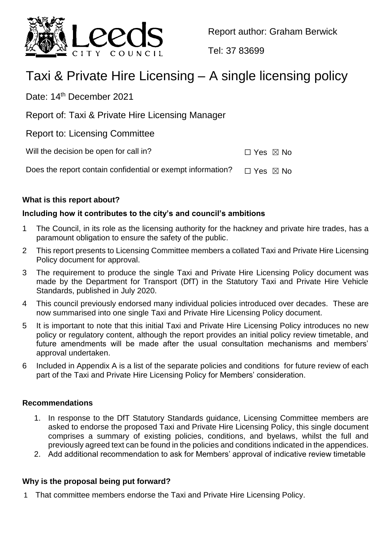

Report author: Graham Berwick

Tel: 37 83699

# Taxi & Private Hire Licensing – A single licensing policy

Date: 14<sup>th</sup> December 2021

Report of: Taxi & Private Hire Licensing Manager

Report to: Licensing Committee

Will the decision be open for call in?  $\Box$  Yes  $\boxtimes$  No

Does the report contain confidential or exempt information?  $\Box$  Yes  $\boxtimes$  No

## **What is this report about?**

## **Including how it contributes to the city's and council's ambitions**

- 1 The Council, in its role as the licensing authority for the hackney and private hire trades, has a paramount obligation to ensure the safety of the public.
- 2 This report presents to Licensing Committee members a collated Taxi and Private Hire Licensing Policy document for approval.
- 3 The requirement to produce the single Taxi and Private Hire Licensing Policy document was made by the Department for Transport (DfT) in the Statutory Taxi and Private Hire Vehicle Standards, published in July 2020.
- 4 This council previously endorsed many individual policies introduced over decades. These are now summarised into one single Taxi and Private Hire Licensing Policy document.
- 5 It is important to note that this initial Taxi and Private Hire Licensing Policy introduces no new policy or regulatory content, although the report provides an initial policy review timetable, and future amendments will be made after the usual consultation mechanisms and members' approval undertaken.
- 6 Included in Appendix A is a list of the separate policies and conditions for future review of each part of the Taxi and Private Hire Licensing Policy for Members' consideration.

## **Recommendations**

- 1. In response to the DfT Statutory Standards guidance, Licensing Committee members are asked to endorse the proposed Taxi and Private Hire Licensing Policy, this single document comprises a summary of existing policies, conditions, and byelaws, whilst the full and previously agreed text can be found in the policies and conditions indicated in the appendices.
- 2. Add additional recommendation to ask for Members' approval of indicative review timetable

## **Why is the proposal being put forward?**

1 That committee members endorse the Taxi and Private Hire Licensing Policy.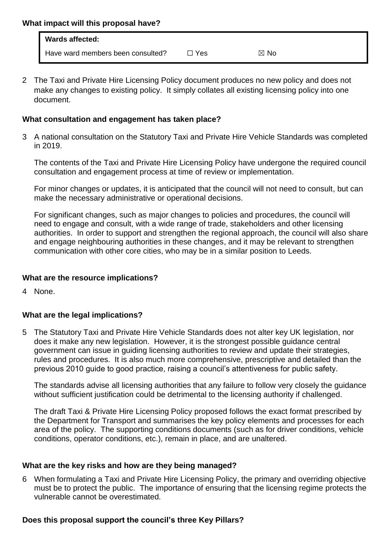| <b>Wards affected:</b>            |     |                |
|-----------------------------------|-----|----------------|
| Have ward members been consulted? | Yes | $\boxtimes$ No |

2 The Taxi and Private Hire Licensing Policy document produces no new policy and does not make any changes to existing policy. It simply collates all existing licensing policy into one document.

## **What consultation and engagement has taken place?**

3 A national consultation on the Statutory Taxi and Private Hire Vehicle Standards was completed in 2019.

The contents of the Taxi and Private Hire Licensing Policy have undergone the required council consultation and engagement process at time of review or implementation.

For minor changes or updates, it is anticipated that the council will not need to consult, but can make the necessary administrative or operational decisions.

For significant changes, such as major changes to policies and procedures, the council will need to engage and consult, with a wide range of trade, stakeholders and other licensing authorities. In order to support and strengthen the regional approach, the council will also share and engage neighbouring authorities in these changes, and it may be relevant to strengthen communication with other core cities, who may be in a similar position to Leeds.

# **What are the resource implications?**

4 None.

# **What are the legal implications?**

5 The Statutory Taxi and Private Hire Vehicle Standards does not alter key UK legislation, nor does it make any new legislation. However, it is the strongest possible guidance central government can issue in guiding licensing authorities to review and update their strategies, rules and procedures. It is also much more comprehensive, prescriptive and detailed than the previous 2010 guide to good practice, raising a council's attentiveness for public safety.

The standards advise all licensing authorities that any failure to follow very closely the guidance without sufficient justification could be detrimental to the licensing authority if challenged.

The draft Taxi & Private Hire Licensing Policy proposed follows the exact format prescribed by the Department for Transport and summarises the key policy elements and processes for each area of the policy. The supporting conditions documents (such as for driver conditions, vehicle conditions, operator conditions, etc.), remain in place, and are unaltered.

# **What are the key risks and how are they being managed?**

6 When formulating a Taxi and Private Hire Licensing Policy, the primary and overriding objective must be to protect the public. The importance of ensuring that the licensing regime protects the vulnerable cannot be overestimated*.* 

# **Does this proposal support the council's three Key Pillars?**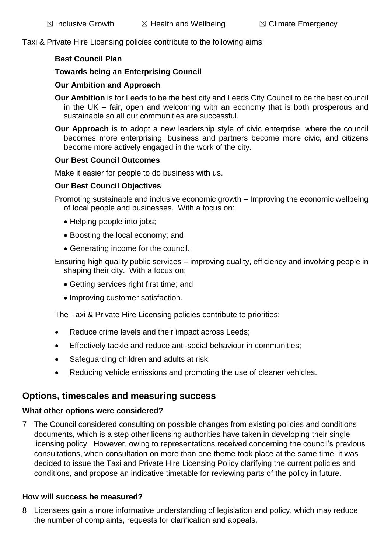Taxi & Private Hire Licensing policies contribute to the following aims:

#### **Best Council Plan**

### **Towards being an Enterprising Council**

#### **Our Ambition and Approach**

- **Our Ambition** is for Leeds to be the best city and Leeds City Council to be the best council in the UK – fair, open and welcoming with an economy that is both prosperous and sustainable so all our communities are successful.
- **Our Approach** is to adopt a new leadership style of civic enterprise, where the council becomes more enterprising, business and partners become more civic, and citizens become more actively engaged in the work of the city.

#### **Our Best Council Outcomes**

Make it easier for people to do business with us.

#### **Our Best Council Objectives**

Promoting sustainable and inclusive economic growth – Improving the economic wellbeing of local people and businesses. With a focus on:

- Helping people into jobs;
- Boosting the local economy; and
- Generating income for the council.

Ensuring high quality public services – improving quality, efficiency and involving people in shaping their city. With a focus on;

- Getting services right first time; and
- Improving customer satisfaction.

The Taxi & Private Hire Licensing policies contribute to priorities:

- Reduce crime levels and their impact across Leeds;
- Effectively tackle and reduce anti-social behaviour in communities;
- Safeguarding children and adults at risk:
- Reducing vehicle emissions and promoting the use of cleaner vehicles.

# **Options, timescales and measuring success**

#### **What other options were considered?**

7 The Council considered consulting on possible changes from existing policies and conditions documents, which is a step other licensing authorities have taken in developing their single licensing policy. However, owing to representations received concerning the council's previous consultations, when consultation on more than one theme took place at the same time, it was decided to issue the Taxi and Private Hire Licensing Policy clarifying the current policies and conditions, and propose an indicative timetable for reviewing parts of the policy in future.

## **How will success be measured?**

8 Licensees gain a more informative understanding of legislation and policy, which may reduce the number of complaints, requests for clarification and appeals.